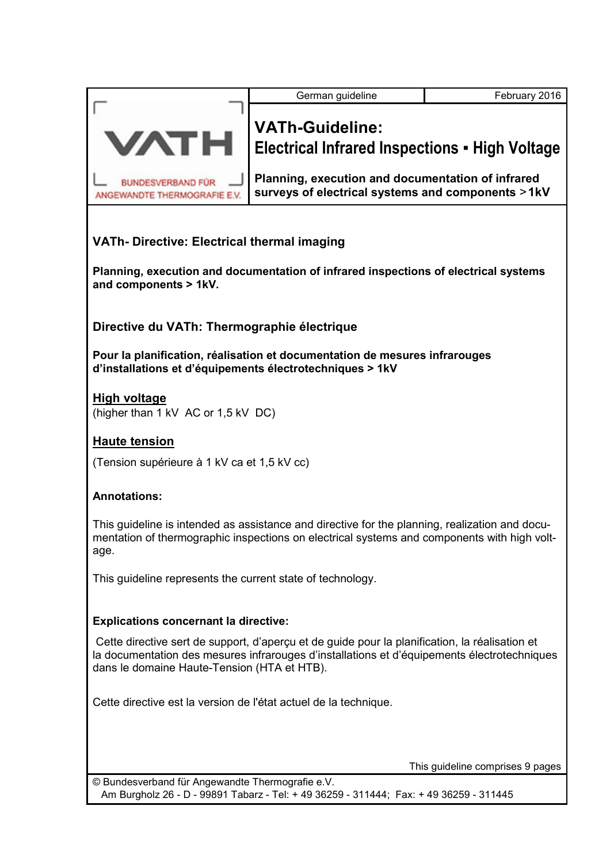| <b>VATh-Guideline:</b>                                                                                                                                                                                                                       |                                                                                                        |  |  |
|----------------------------------------------------------------------------------------------------------------------------------------------------------------------------------------------------------------------------------------------|--------------------------------------------------------------------------------------------------------|--|--|
| <b>VATH</b><br><b>Electrical Infrared Inspections - High Voltage</b>                                                                                                                                                                         |                                                                                                        |  |  |
| <b>BUNDESVERBAND FÜR</b><br>ANGEWANDTE THERMOGRAFIE E.V.                                                                                                                                                                                     | Planning, execution and documentation of infrared<br>surveys of electrical systems and components >1kV |  |  |
| <b>VATh-Directive: Electrical thermal imaging</b>                                                                                                                                                                                            |                                                                                                        |  |  |
| Planning, execution and documentation of infrared inspections of electrical systems<br>and components > 1kV.                                                                                                                                 |                                                                                                        |  |  |
| Directive du VATh: Thermographie électrique                                                                                                                                                                                                  |                                                                                                        |  |  |
| Pour la planification, réalisation et documentation de mesures infrarouges<br>d'installations et d'équipements électrotechniques > 1kV                                                                                                       |                                                                                                        |  |  |
| <b>High voltage</b><br>(higher than 1 kV AC or 1,5 kV DC)                                                                                                                                                                                    |                                                                                                        |  |  |
| <b>Haute tension</b>                                                                                                                                                                                                                         |                                                                                                        |  |  |
| (Tension supérieure à 1 kV ca et 1,5 kV cc)                                                                                                                                                                                                  |                                                                                                        |  |  |
| <b>Annotations:</b>                                                                                                                                                                                                                          |                                                                                                        |  |  |
| This guideline is intended as assistance and directive for the planning, realization and docu-<br>mentation of thermographic inspections on electrical systems and components with high volt-<br>age.                                        |                                                                                                        |  |  |
| This guideline represents the current state of technology.                                                                                                                                                                                   |                                                                                                        |  |  |
| <b>Explications concernant la directive:</b>                                                                                                                                                                                                 |                                                                                                        |  |  |
| Cette directive sert de support, d'aperçu et de guide pour la planification, la réalisation et<br>la documentation des mesures infrarouges d'installations et d'équipements électrotechniques<br>dans le domaine Haute-Tension (HTA et HTB). |                                                                                                        |  |  |
| Cette directive est la version de l'état actuel de la technique.                                                                                                                                                                             |                                                                                                        |  |  |
|                                                                                                                                                                                                                                              | This guideline comprises 9 pages                                                                       |  |  |
| © Bundesverband für Angewandte Thermografie e.V.<br>Am Burgholz 26 - D - 99891 Tabarz - Tel: + 49 36259 - 311444; Fax: + 49 36259 - 311445                                                                                                   |                                                                                                        |  |  |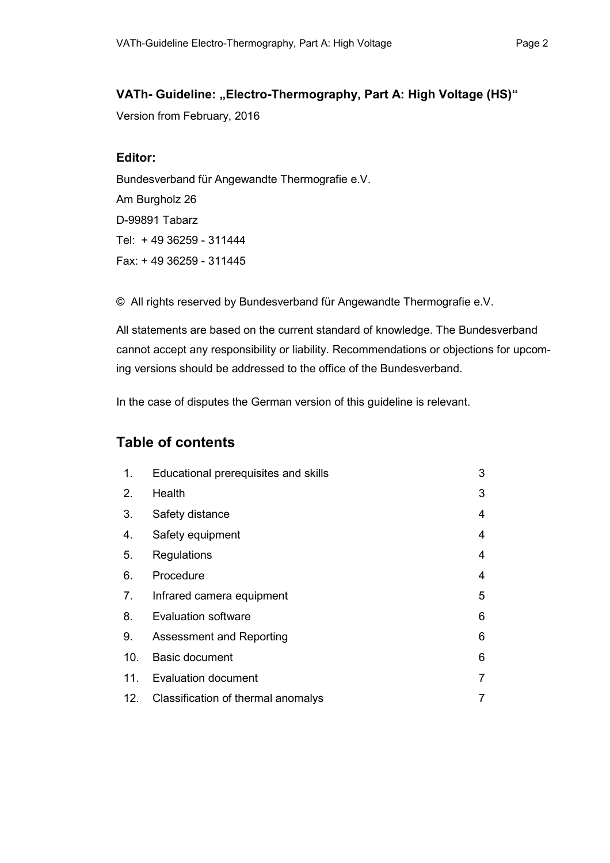### VATh- Guideline: "Electro-Thermography, Part A: High Voltage (HS)"

Version from February, 2016

### **Editor:**

Bundesverband für Angewandte Thermografie e.V. Am Burgholz 26 D-99891 Tabarz Tel: + 49 36259 - 311444 Fax: + 49 36259 - 311445

© All rights reserved by Bundesverband für Angewandte Thermografie e.V.

All statements are based on the current standard of knowledge. The Bundesverband cannot accept any responsibility or liability. Recommendations or objections for upcoming versions should be addressed to the office of the Bundesverband.

In the case of disputes the German version of this guideline is relevant.

## **Table of contents**

| 1.              | Educational prerequisites and skills | 3 |
|-----------------|--------------------------------------|---|
| 2.              | Health                               | 3 |
| 3.              | Safety distance                      | 4 |
| 4.              | Safety equipment                     | 4 |
| 5.              | Regulations                          | 4 |
| 6.              | Procedure                            | 4 |
| 7.              | Infrared camera equipment            | 5 |
| 8.              | <b>Evaluation software</b>           | 6 |
| 9.              | Assessment and Reporting             | 6 |
| 10.             | <b>Basic document</b>                | 6 |
| 11 <sub>1</sub> | <b>Evaluation document</b>           | 7 |
| 12.             | Classification of thermal anomalys   | 7 |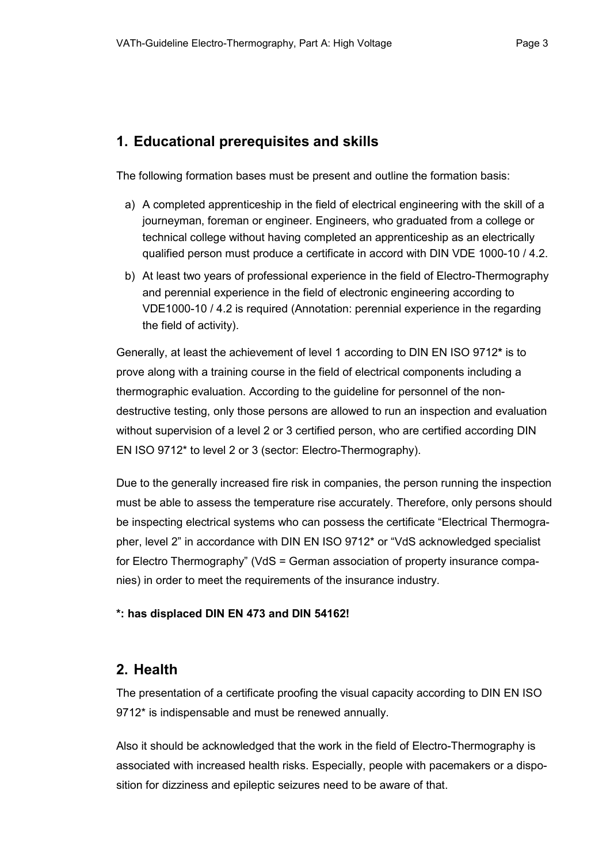## **1. Educational prerequisites and skills**

The following formation bases must be present and outline the formation basis:

- a) A completed apprenticeship in the field of electrical engineering with the skill of a journeyman, foreman or engineer. Engineers, who graduated from a college or technical college without having completed an apprenticeship as an electrically qualified person must produce a certificate in accord with DIN VDE 1000-10 / 4.2.
- b) At least two years of professional experience in the field of Electro-Thermography and perennial experience in the field of electronic engineering according to VDE1000-10 / 4.2 is required (Annotation: perennial experience in the regarding the field of activity).

Generally, at least the achievement of level 1 according to DIN EN ISO 9712**\*** is to prove along with a training course in the field of electrical components including a thermographic evaluation. According to the guideline for personnel of the nondestructive testing, only those persons are allowed to run an inspection and evaluation without supervision of a level 2 or 3 certified person, who are certified according DIN EN ISO 9712\* to level 2 or 3 (sector: Electro-Thermography).

Due to the generally increased fire risk in companies, the person running the inspection must be able to assess the temperature rise accurately. Therefore, only persons should be inspecting electrical systems who can possess the certificate "Electrical Thermographer, level 2" in accordance with DIN EN ISO 9712\* or "VdS acknowledged specialist for Electro Thermography" (VdS = German association of property insurance companies) in order to meet the requirements of the insurance industry.

### **\*: has displaced DIN EN 473 and DIN 54162!**

## **2. Health**

The presentation of a certificate proofing the visual capacity according to DIN EN ISO 9712\* is indispensable and must be renewed annually.

Also it should be acknowledged that the work in the field of Electro-Thermography is associated with increased health risks. Especially, people with pacemakers or a disposition for dizziness and epileptic seizures need to be aware of that.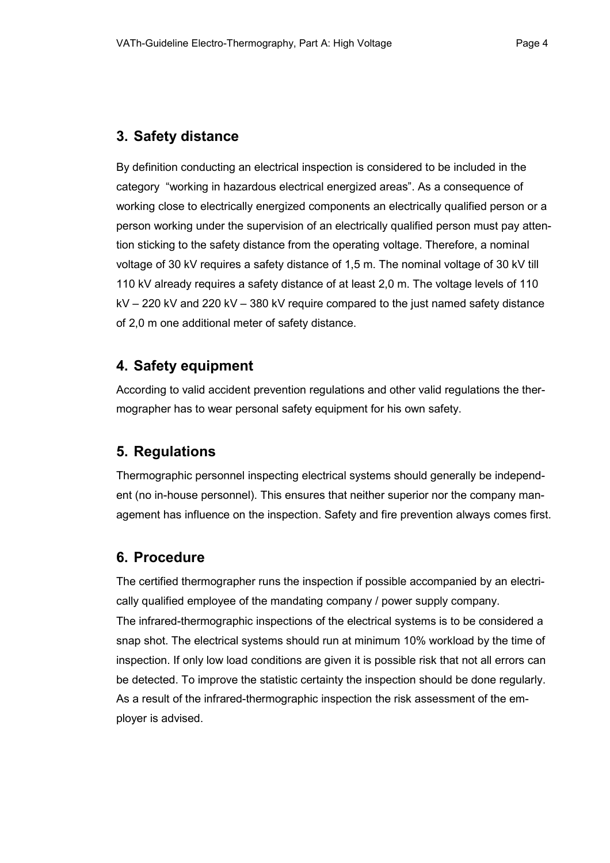### **3. Safety distance**

By definition conducting an electrical inspection is considered to be included in the category "working in hazardous electrical energized areas". As a consequence of working close to electrically energized components an electrically qualified person or a person working under the supervision of an electrically qualified person must pay attention sticking to the safety distance from the operating voltage. Therefore, a nominal voltage of 30 kV requires a safety distance of 1,5 m. The nominal voltage of 30 kV till 110 kV already requires a safety distance of at least 2,0 m. The voltage levels of 110  $kV - 220 kV$  and 220 kV – 380 kV require compared to the just named safety distance of 2,0 m one additional meter of safety distance.

## **4. Safety equipment**

According to valid accident prevention regulations and other valid regulations the thermographer has to wear personal safety equipment for his own safety.

## **5. Regulations**

Thermographic personnel inspecting electrical systems should generally be independent (no in-house personnel). This ensures that neither superior nor the company management has influence on the inspection. Safety and fire prevention always comes first.

## **6. Procedure**

The certified thermographer runs the inspection if possible accompanied by an electrically qualified employee of the mandating company / power supply company.

The infrared-thermographic inspections of the electrical systems is to be considered a snap shot. The electrical systems should run at minimum 10% workload by the time of inspection. If only low load conditions are given it is possible risk that not all errors can be detected. To improve the statistic certainty the inspection should be done regularly. As a result of the infrared-thermographic inspection the risk assessment of the employer is advised.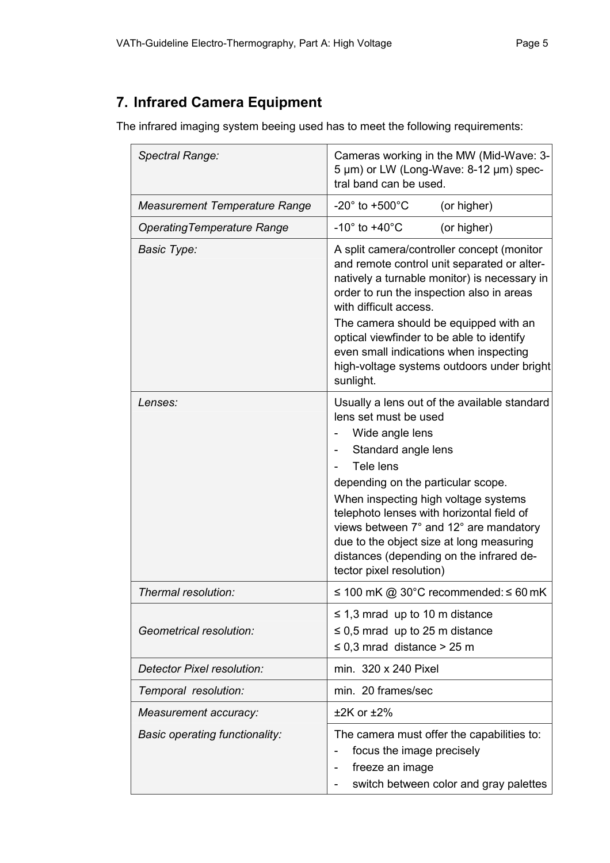# **7. Infrared Camera Equipment**

The infrared imaging system beeing used has to meet the following requirements:

| Spectral Range:                       | Cameras working in the MW (Mid-Wave: 3-<br>5 µm) or LW (Long-Wave: 8-12 µm) spec-<br>tral band can be used.                                                                                                                                                                                                                                                                                                           |  |  |
|---------------------------------------|-----------------------------------------------------------------------------------------------------------------------------------------------------------------------------------------------------------------------------------------------------------------------------------------------------------------------------------------------------------------------------------------------------------------------|--|--|
| <b>Measurement Temperature Range</b>  | $-20^\circ$ to $+500^\circ$ C<br>(or higher)                                                                                                                                                                                                                                                                                                                                                                          |  |  |
| <b>Operating Temperature Range</b>    | $-10^\circ$ to $+40^\circ$ C<br>(or higher)                                                                                                                                                                                                                                                                                                                                                                           |  |  |
| <b>Basic Type:</b>                    | A split camera/controller concept (monitor<br>and remote control unit separated or alter-<br>natively a turnable monitor) is necessary in<br>order to run the inspection also in areas<br>with difficult access.<br>The camera should be equipped with an<br>optical viewfinder to be able to identify<br>even small indications when inspecting<br>high-voltage systems outdoors under bright<br>sunlight.           |  |  |
| Lenses:                               | Usually a lens out of the available standard<br>lens set must be used<br>Wide angle lens<br>Standard angle lens<br>Tele lens<br>depending on the particular scope.<br>When inspecting high voltage systems<br>telephoto lenses with horizontal field of<br>views between 7° and 12° are mandatory<br>due to the object size at long measuring<br>distances (depending on the infrared de-<br>tector pixel resolution) |  |  |
| Thermal resolution:                   | ≤ 100 mK @ 30°C recommended: ≤ 60 mK                                                                                                                                                                                                                                                                                                                                                                                  |  |  |
| Geometrical resolution:               | $\leq$ 1,3 mrad up to 10 m distance<br>$\leq$ 0,5 mrad up to 25 m distance<br>$\leq$ 0,3 mrad distance > 25 m                                                                                                                                                                                                                                                                                                         |  |  |
| Detector Pixel resolution:            | min. 320 x 240 Pixel                                                                                                                                                                                                                                                                                                                                                                                                  |  |  |
| Temporal resolution:                  | min. 20 frames/sec                                                                                                                                                                                                                                                                                                                                                                                                    |  |  |
| Measurement accuracy:                 | $±2K$ or $±2\%$                                                                                                                                                                                                                                                                                                                                                                                                       |  |  |
| <b>Basic operating functionality:</b> | The camera must offer the capabilities to:<br>focus the image precisely<br>freeze an image<br>switch between color and gray palettes                                                                                                                                                                                                                                                                                  |  |  |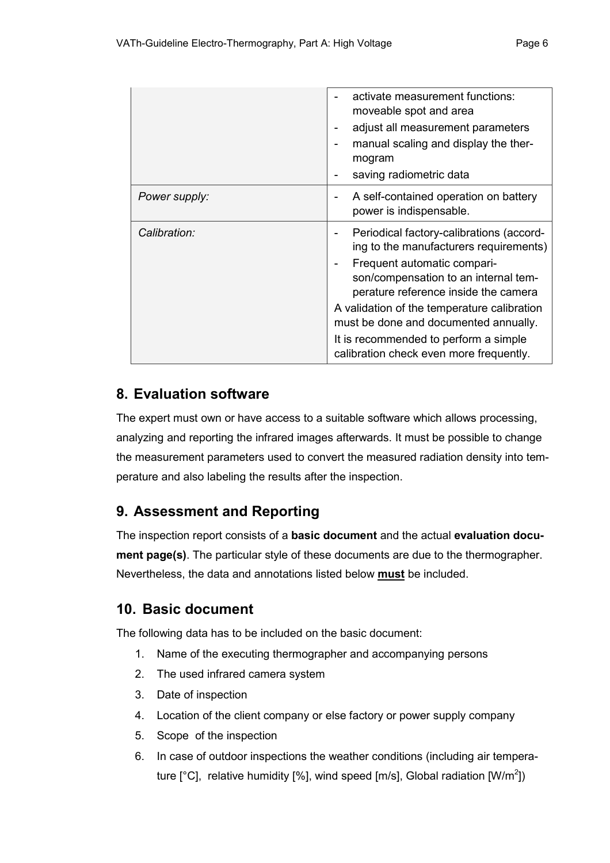|               | activate measurement functions:<br>moveable spot and area<br>adjust all measurement parameters<br>manual scaling and display the ther-<br>mogram<br>saving radiometric data<br>۰                                                                                                                                                                                                                |
|---------------|-------------------------------------------------------------------------------------------------------------------------------------------------------------------------------------------------------------------------------------------------------------------------------------------------------------------------------------------------------------------------------------------------|
| Power supply: | A self-contained operation on battery<br>power is indispensable.                                                                                                                                                                                                                                                                                                                                |
| Calibration:  | Periodical factory-calibrations (accord-<br>ing to the manufacturers requirements)<br>Frequent automatic compari-<br>$\blacksquare$<br>son/compensation to an internal tem-<br>perature reference inside the camera<br>A validation of the temperature calibration<br>must be done and documented annually.<br>It is recommended to perform a simple<br>calibration check even more frequently. |

# **8. Evaluation software**

The expert must own or have access to a suitable software which allows processing, analyzing and reporting the infrared images afterwards. It must be possible to change the measurement parameters used to convert the measured radiation density into temperature and also labeling the results after the inspection.

# **9. Assessment and Reporting**

The inspection report consists of a **basic document** and the actual **evaluation document page(s)**. The particular style of these documents are due to the thermographer. Nevertheless, the data and annotations listed below **must** be included.

# **10. Basic document**

The following data has to be included on the basic document:

- 1. Name of the executing thermographer and accompanying persons
- 2. The used infrared camera system
- 3. Date of inspection
- 4. Location of the client company or else factory or power supply company
- 5. Scope of the inspection
- 6. In case of outdoor inspections the weather conditions (including air temperature [°C], relative humidity [%], wind speed [m/s], Global radiation [W/m<sup>2</sup>])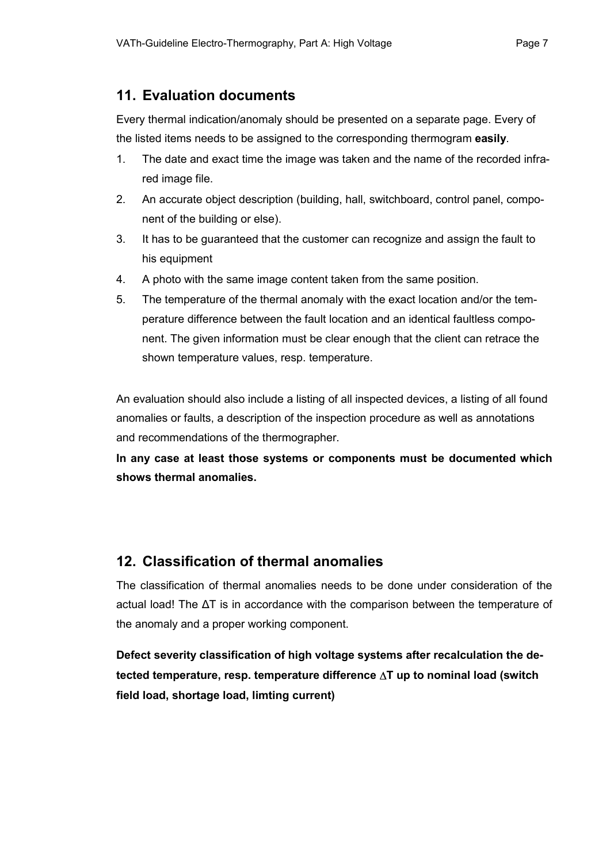### **11. Evaluation documents**

Every thermal indication/anomaly should be presented on a separate page. Every of the listed items needs to be assigned to the corresponding thermogram **easily**.

- 1. The date and exact time the image was taken and the name of the recorded infrared image file.
- 2. An accurate object description (building, hall, switchboard, control panel, component of the building or else).
- 3. It has to be guaranteed that the customer can recognize and assign the fault to his equipment
- 4. A photo with the same image content taken from the same position.
- 5. The temperature of the thermal anomaly with the exact location and/or the temperature difference between the fault location and an identical faultless component. The given information must be clear enough that the client can retrace the shown temperature values, resp. temperature.

An evaluation should also include a listing of all inspected devices, a listing of all found anomalies or faults, a description of the inspection procedure as well as annotations and recommendations of the thermographer.

**In any case at least those systems or components must be documented which shows thermal anomalies.** 

## **12. Classification of thermal anomalies**

The classification of thermal anomalies needs to be done under consideration of the actual load! The ΔT is in accordance with the comparison between the temperature of the anomaly and a proper working component.

**Defect severity classification of high voltage systems after recalculation the detected temperature, resp. temperature difference** ∆**T up to nominal load (switch field load, shortage load, limting current)**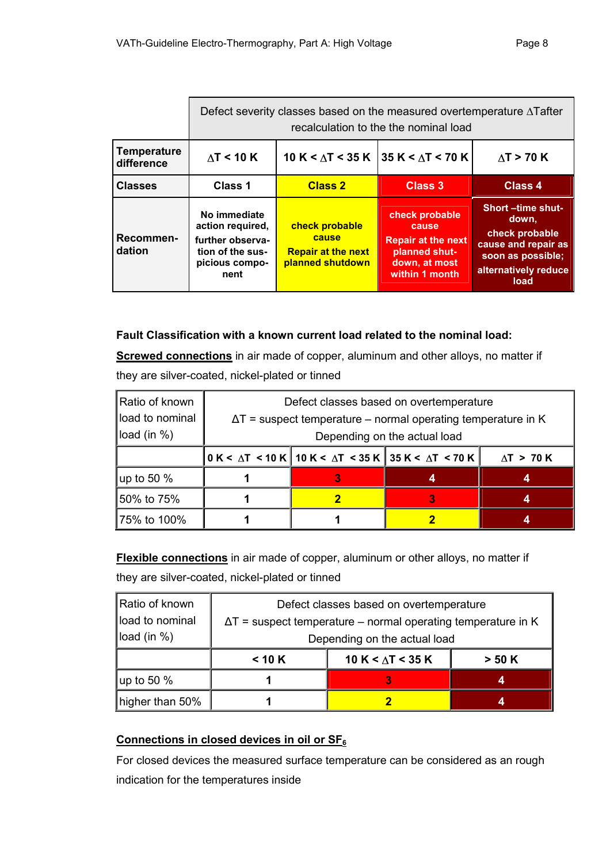|                                  | Defect severity classes based on the measured overtemperature $\Delta$ Tafter<br>recalculation to the the nominal load |                                                                          |                                                                                                          |                                                                                                                                |
|----------------------------------|------------------------------------------------------------------------------------------------------------------------|--------------------------------------------------------------------------|----------------------------------------------------------------------------------------------------------|--------------------------------------------------------------------------------------------------------------------------------|
| <b>Temperature</b><br>difference | $\Delta T$ < 10 K                                                                                                      |                                                                          | 10 K < $\Delta$ T < 35 K   35 K < $\Delta$ T < 70 K                                                      | $\Delta T$ > 70 K                                                                                                              |
| <b>Classes</b>                   | Class 1                                                                                                                | <b>Class 2</b>                                                           | Class 3                                                                                                  | Class 4                                                                                                                        |
| Recommen-<br>dation              | No immediate<br>action required,<br>further observa-<br>tion of the sus-<br>picious compo-<br>nent                     | check probable<br>cause<br><b>Repair at the next</b><br>planned shutdown | check probable<br>cause<br><b>Repair at the next</b><br>planned shut-<br>down, at most<br>within 1 month | <b>Short-time shut-</b><br>down.<br>check probable<br>cause and repair as<br>soon as possible;<br>alternatively reduce<br>load |

### **Fault Classification with a known current load related to the nominal load:**

**Screwed connections** in air made of copper, aluminum and other alloys, no matter if they are silver-coated, nickel-plated or tinned

| Ratio of known  | Defect classes based on overtemperature                              |  |                                                                                                                          |                   |
|-----------------|----------------------------------------------------------------------|--|--------------------------------------------------------------------------------------------------------------------------|-------------------|
| load to nominal | $\Delta T$ = suspect temperature – normal operating temperature in K |  |                                                                                                                          |                   |
| load (in $%$ )  | Depending on the actual load                                         |  |                                                                                                                          |                   |
|                 |                                                                      |  | $\vert$ 0 K < $\Delta$ T $\,$ < 10 K $\vert$ 10 K < $\Delta$ T $\,$ < 35 K $\vert$ 35 K < $\Delta$ T $\,$ < 70 K $\vert$ | $\Delta T > 70 K$ |
| up to 50 %      |                                                                      |  |                                                                                                                          |                   |
| 50% to 75%      |                                                                      |  |                                                                                                                          |                   |
| 75% to 100%     |                                                                      |  |                                                                                                                          |                   |

**Flexible connections** in air made of copper, aluminum or other alloys, no matter if they are silver-coated, nickel-plated or tinned

| Ratio of known  | Defect classes based on overtemperature                              |                          |        |
|-----------------|----------------------------------------------------------------------|--------------------------|--------|
| load to nominal | $\Delta T$ = suspect temperature – normal operating temperature in K |                          |        |
| load (in %)     | Depending on the actual load                                         |                          |        |
|                 | < 10 K                                                               | 10 K < $\Delta$ T < 35 K | > 50 K |
| up to 50 $%$    |                                                                      |                          | 4      |
| higher than 50% |                                                                      |                          |        |

## **Connections in closed devices in oil or SF<sup>6</sup>**

For closed devices the measured surface temperature can be considered as an rough indication for the temperatures inside